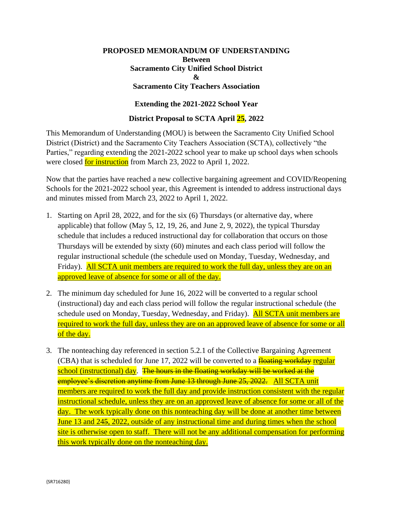## **PROPOSED MEMORANDUM OF UNDERSTANDING Between Sacramento City Unified School District & Sacramento City Teachers Association**

## **Extending the 2021-2022 School Year**

## **District Proposal to SCTA April 25, 2022**

This Memorandum of Understanding (MOU) is between the Sacramento City Unified School District (District) and the Sacramento City Teachers Association (SCTA), collectively "the Parties," regarding extending the 2021-2022 school year to make up school days when schools were closed **for instruction** from March 23, 2022 to April 1, 2022.

Now that the parties have reached a new collective bargaining agreement and COVID/Reopening Schools for the 2021-2022 school year, this Agreement is intended to address instructional days and minutes missed from March 23, 2022 to April 1, 2022.

- 1. Starting on April 28, 2022, and for the six (6) Thursdays (or alternative day, where applicable) that follow (May 5, 12, 19, 26, and June 2, 9, 2022), the typical Thursday schedule that includes a reduced instructional day for collaboration that occurs on those Thursdays will be extended by sixty (60) minutes and each class period will follow the regular instructional schedule (the schedule used on Monday, Tuesday, Wednesday, and Friday). All SCTA unit members are required to work the full day, unless they are on an approved leave of absence for some or all of the day.
- 2. The minimum day scheduled for June 16, 2022 will be converted to a regular school (instructional) day and each class period will follow the regular instructional schedule (the schedule used on Monday, Tuesday, Wednesday, and Friday). **All SCTA unit members are** required to work the full day, unless they are on an approved leave of absence for some or all of the day.
- 3. The nonteaching day referenced in section 5.2.1 of the Collective Bargaining Agreement (CBA) that is scheduled for June 17, 2022 will be converted to a  $\frac{f}{f}$  to  $\frac{f}{f}$  workday regular school (instructional) day. The hours in the floating workday will be worked at the employee's discretion anytime from June 13 through June 25, 2022. All SCTA unit members are required to work the full day and provide instruction consistent with the regular instructional schedule, unless they are on an approved leave of absence for some or all of the day. The work typically done on this nonteaching day will be done at another time between June 13 and 245, 2022, outside of any instructional time and during times when the school site is otherwise open to staff. There will not be any additional compensation for performing this work typically done on the nonteaching day.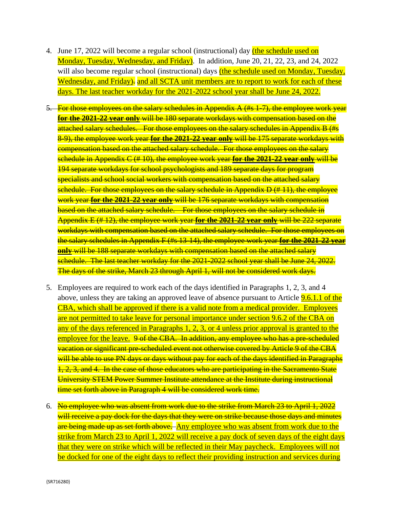- 4. June 17, 2022 will become a regular school (instructional) day (the schedule used on Monday, Tuesday, Wednesday, and Friday). In addition, June 20, 21, 22, 23, and 24, 2022 will also become regular school (instructional) days (the schedule used on Monday, Tuesday, Wednesday, and Friday). and all SCTA unit members are to report to work for each of these days. The last teacher workday for the 2021-2022 school year shall be June 24, 2022.
- 5. For those employees on the salary schedules in Appendix A (#s 1-7), the employee work year **for the 2021-22 year only** will be 180 separate workdays with compensation based on the attached salary schedules. For those employees on the salary schedules in Appendix B (#s 8-9), the employee work year **for the 2021-22 year only** will be 175 separate workdays with compensation based on the attached salary schedule. For those employees on the salary schedule in Appendix C (# 10), the employee work year **for the 2021-22 year only** will be 194 separate workdays for school psychologists and 189 separate days for program specialists and school social workers with compensation based on the attached salary schedule. For those employees on the salary schedule in Appendix D (#11), the employee work year **for the 2021-22 year only** will be 176 separate workdays with compensation based on the attached salary schedule. For those employees on the salary schedule in Appendix E (# 12), the employee work year **for the 2021-22 year only** will be 222 separate workdays with compensation based on the attached salary schedule. For those employees on the salary schedules in Appendix F (#s 13-14), the employee work year **for the 2021-22 year only** will be 188 separate workdays with compensation based on the attached salary schedule. The last teacher workday for the 2021-2022 school year shall be June 24, 2022. The days of the strike, March 23 through April 1, will not be considered work days.
- 5. Employees are required to work each of the days identified in Paragraphs 1, 2, 3, and 4 above, unless they are taking an approved leave of absence pursuant to Article 9.6.1.1 of the CBA, which shall be approved if there is a valid note from a medical provider. Employees are not permitted to take leave for personal importance under section 9.6.2 of the CBA on any of the days referenced in Paragraphs 1, 2, 3, or 4 unless prior approval is granted to the employee for the leave. 9 of the CBA. In addition, any employee who has a pre-scheduled vacation or significant pre-scheduled event not otherwise covered by Article 9 of the CBA will be able to use PN days or days without pay for each of the days identified in Paragraphs 1, 2, 3, and 4. In the case of those educators who are participating in the Sacramento State University STEM Power Summer Institute attendance at the Institute during instructional time set forth above in Paragraph 4 will be considered work time.
- 6. No employee who was absent from work due to the strike from March 23 to April 1, 2022 will receive a pay dock for the days that they were on strike because those days and minutes are being made up as set forth above. Any employee who was absent from work due to the strike from March 23 to April 1, 2022 will receive a pay dock of seven days of the eight days that they were on strike which will be reflected in their May paycheck. Employees will not be docked for one of the eight days to reflect their providing instruction and services during